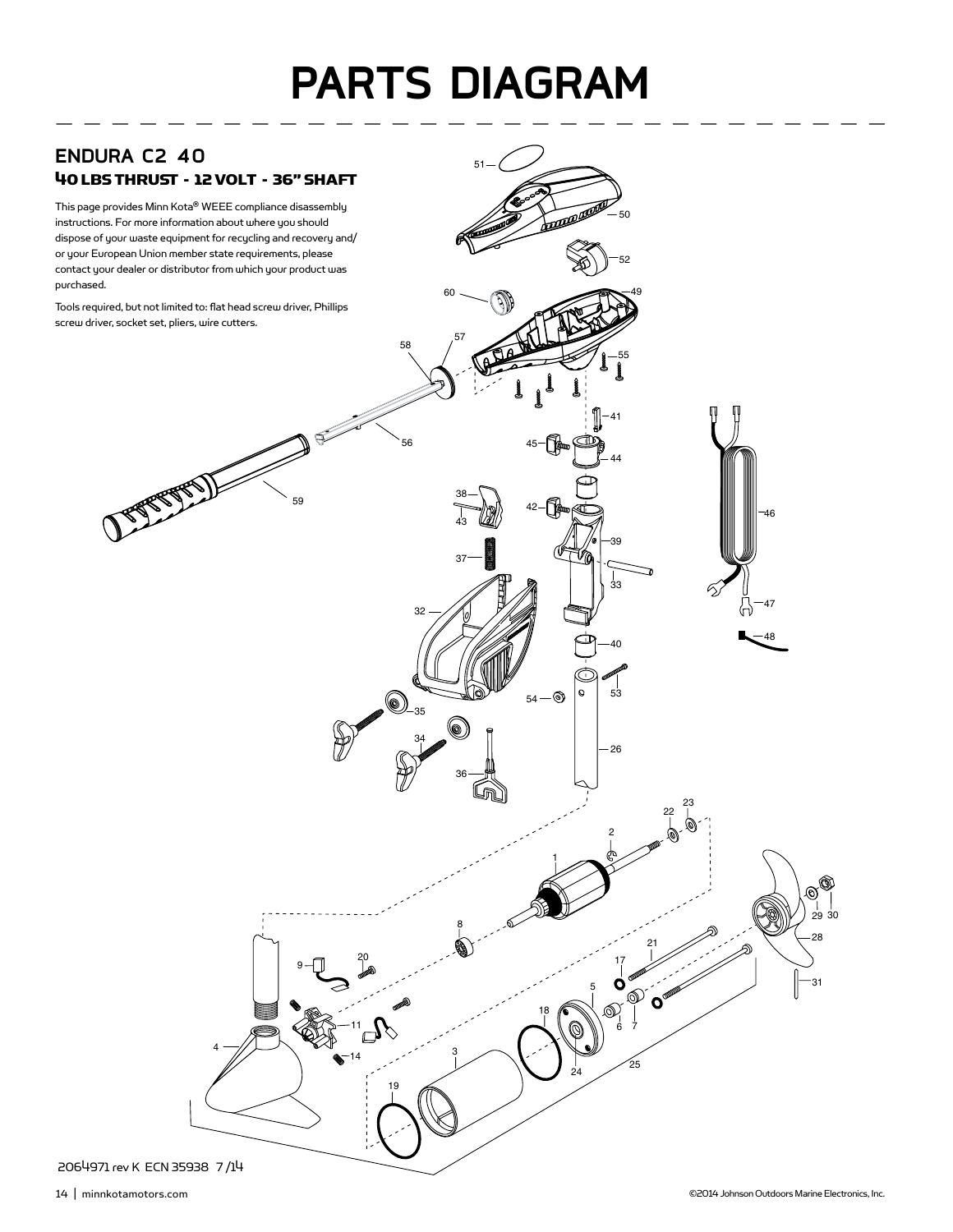## **PARTS DIAGRAM**

 $51 -$ 

 

 $54-\circledcirc$ 



This page provides Minn Kota® WEEE compliance disassembly instructions. For more information about where you should dispose of your waste equipment for recycling and recovery and/ or your European Union member state requirements, please contact your dealer or distributor from which your product was purchased.

Tools required, but not limited to: flat head screw driver, Phillips screw driver, socket set, pliers, wire cutters.

JESSE REAL



30

 $\mathcal{O}$ 

7

 $\frac{23}{6}$ 

 $\frac{1}{33}$ 

**REPORT OF THE OWNER.**